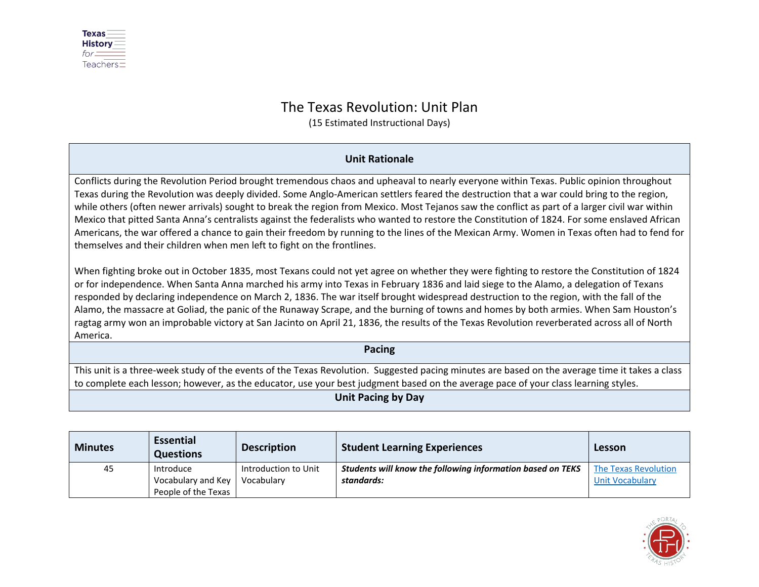

## The Texas Revolution: Unit Plan

(15 Estimated Instructional Days)

## **Unit Rationale**

Conflicts during the Revolution Period brought tremendous chaos and upheaval to nearly everyone within Texas. Public opinion throughout Texas during the Revolution was deeply divided. Some Anglo-American settlers feared the destruction that a war could bring to the region, while others (often newer arrivals) sought to break the region from Mexico. Most Tejanos saw the conflict as part of a larger civil war within Mexico that pitted Santa Anna's centralists against the federalists who wanted to restore the Constitution of 1824. For some enslaved African Americans, the war offered a chance to gain their freedom by running to the lines of the Mexican Army. Women in Texas often had to fend for themselves and their children when men left to fight on the frontlines.

When fighting broke out in October 1835, most Texans could not yet agree on whether they were fighting to restore the Constitution of 1824 or for independence. When Santa Anna marched his army into Texas in February 1836 and laid siege to the Alamo, a delegation of Texans responded by declaring independence on March 2, 1836. The war itself brought widespread destruction to the region, with the fall of the Alamo, the massacre at Goliad, the panic of the Runaway Scrape, and the burning of towns and homes by both armies. When Sam Houston's ragtag army won an improbable victory at San Jacinto on April 21, 1836, the results of the Texas Revolution reverberated across all of North America.

## **Pacing**

This unit is a three-week study of the events of the Texas Revolution. Suggested pacing minutes are based on the average time it takes a class to complete each lesson; however, as the educator, use your best judgment based on the average pace of your class learning styles.

## **Unit Pacing by Day**

| <b>Minutes</b> | <b>Essential</b><br><b>Questions</b> | <b>Description</b>   | <b>Student Learning Experiences</b>                        | Lesson                 |
|----------------|--------------------------------------|----------------------|------------------------------------------------------------|------------------------|
| 45             | Introduce                            | Introduction to Unit | Students will know the following information based on TEKS | The Texas Revolution   |
|                | Vocabulary and Key                   | Vocabulary           | standards:                                                 | <b>Unit Vocabulary</b> |
|                | People of the Texas                  |                      |                                                            |                        |

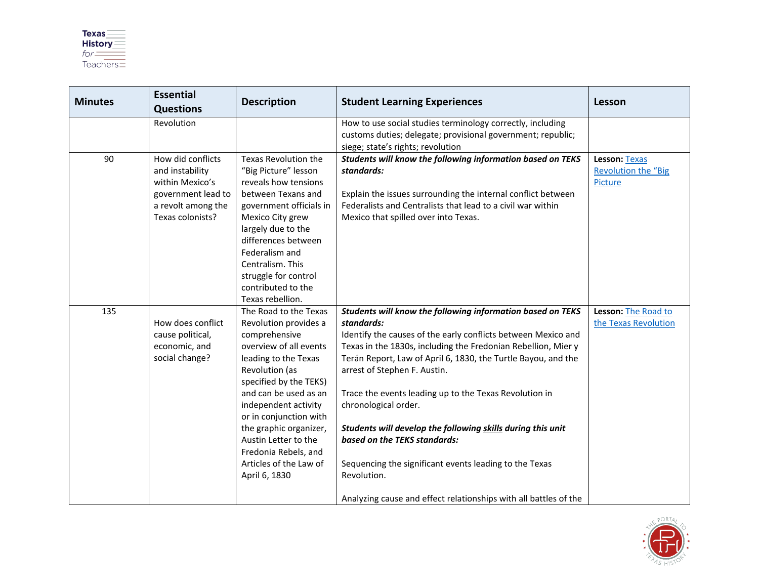

| <b>Minutes</b> | <b>Essential</b><br><b>Questions</b>                                                                                    | <b>Description</b>                                                                                                                                                                                                                                                                                                                                            | <b>Student Learning Experiences</b>                                                                                                                                                                                                                                                                                                                                                                                                                                                                                                                                                                                                       | Lesson                                                 |
|----------------|-------------------------------------------------------------------------------------------------------------------------|---------------------------------------------------------------------------------------------------------------------------------------------------------------------------------------------------------------------------------------------------------------------------------------------------------------------------------------------------------------|-------------------------------------------------------------------------------------------------------------------------------------------------------------------------------------------------------------------------------------------------------------------------------------------------------------------------------------------------------------------------------------------------------------------------------------------------------------------------------------------------------------------------------------------------------------------------------------------------------------------------------------------|--------------------------------------------------------|
|                | Revolution                                                                                                              |                                                                                                                                                                                                                                                                                                                                                               | How to use social studies terminology correctly, including<br>customs duties; delegate; provisional government; republic;<br>siege; state's rights; revolution                                                                                                                                                                                                                                                                                                                                                                                                                                                                            |                                                        |
| 90             | How did conflicts<br>and instability<br>within Mexico's<br>government lead to<br>a revolt among the<br>Texas colonists? | Texas Revolution the<br>"Big Picture" lesson<br>reveals how tensions<br>between Texans and<br>government officials in<br>Mexico City grew<br>largely due to the<br>differences between<br>Federalism and<br>Centralism. This<br>struggle for control<br>contributed to the<br>Texas rebellion.                                                                | Students will know the following information based on TEKS<br>standards:<br>Explain the issues surrounding the internal conflict between<br>Federalists and Centralists that lead to a civil war within<br>Mexico that spilled over into Texas.                                                                                                                                                                                                                                                                                                                                                                                           | Lesson: Texas<br><b>Revolution the "Big</b><br>Picture |
| 135            | How does conflict<br>cause political,<br>economic, and<br>social change?                                                | The Road to the Texas<br>Revolution provides a<br>comprehensive<br>overview of all events<br>leading to the Texas<br>Revolution (as<br>specified by the TEKS)<br>and can be used as an<br>independent activity<br>or in conjunction with<br>the graphic organizer,<br>Austin Letter to the<br>Fredonia Rebels, and<br>Articles of the Law of<br>April 6, 1830 | Students will know the following information based on TEKS<br>standards:<br>Identify the causes of the early conflicts between Mexico and<br>Texas in the 1830s, including the Fredonian Rebellion, Mier y<br>Terán Report, Law of April 6, 1830, the Turtle Bayou, and the<br>arrest of Stephen F. Austin.<br>Trace the events leading up to the Texas Revolution in<br>chronological order.<br>Students will develop the following skills during this unit<br>based on the TEKS standards:<br>Sequencing the significant events leading to the Texas<br>Revolution.<br>Analyzing cause and effect relationships with all battles of the | Lesson: The Road to<br>the Texas Revolution            |

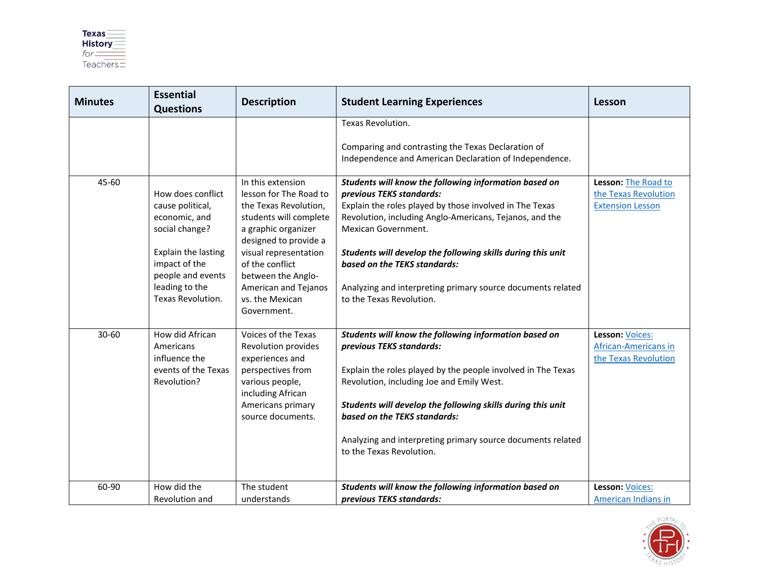

| <b>Minutes</b> | <b>Essential</b><br><b>Questions</b>                                                                                                                                         | <b>Description</b>                                                                                                                                                                                                                                                         | <b>Student Learning Experiences</b>                                                                                                                                                                                                                                                                                                                                                                                      | Lesson                                                                 |
|----------------|------------------------------------------------------------------------------------------------------------------------------------------------------------------------------|----------------------------------------------------------------------------------------------------------------------------------------------------------------------------------------------------------------------------------------------------------------------------|--------------------------------------------------------------------------------------------------------------------------------------------------------------------------------------------------------------------------------------------------------------------------------------------------------------------------------------------------------------------------------------------------------------------------|------------------------------------------------------------------------|
|                |                                                                                                                                                                              |                                                                                                                                                                                                                                                                            | Texas Revolution.<br>Comparing and contrasting the Texas Declaration of<br>Independence and American Declaration of Independence.                                                                                                                                                                                                                                                                                        |                                                                        |
| 45-60          | How does conflict<br>cause political,<br>economic, and<br>social change?<br>Explain the lasting<br>impact of the<br>people and events<br>leading to the<br>Texas Revolution. | In this extension<br>lesson for The Road to<br>the Texas Revolution,<br>students will complete<br>a graphic organizer<br>designed to provide a<br>visual representation<br>of the conflict<br>between the Anglo-<br>American and Tejanos<br>vs. the Mexican<br>Government. | Students will know the following information based on<br>previous TEKS standards:<br>Explain the roles played by those involved in The Texas<br>Revolution, including Anglo-Americans, Tejanos, and the<br>Mexican Government.<br>Students will develop the following skills during this unit<br>based on the TEKS standards:<br>Analyzing and interpreting primary source documents related<br>to the Texas Revolution. | Lesson: The Road to<br>the Texas Revolution<br><b>Extension Lesson</b> |
| 30-60          | How did African<br>Americans<br>influence the<br>events of the Texas<br>Revolution?                                                                                          | Voices of the Texas<br>Revolution provides<br>experiences and<br>perspectives from<br>various people,<br>including African<br>Americans primary<br>source documents.                                                                                                       | Students will know the following information based on<br>previous TEKS standards:<br>Explain the roles played by the people involved in The Texas<br>Revolution, including Joe and Emily West.<br>Students will develop the following skills during this unit<br>based on the TEKS standards:<br>Analyzing and interpreting primary source documents related<br>to the Texas Revolution.                                 | Lesson: Voices:<br>African-Americans in<br>the Texas Revolution        |
| 60-90          | How did the<br>Revolution and                                                                                                                                                | The student<br>understands                                                                                                                                                                                                                                                 | Students will know the following information based on<br>previous TEKS standards:                                                                                                                                                                                                                                                                                                                                        | Lesson: Voices:<br>American Indians in                                 |

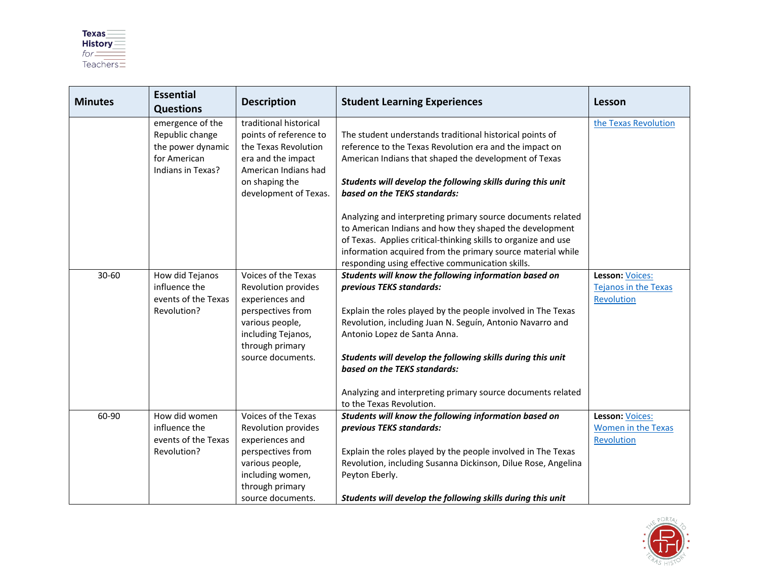

| <b>Minutes</b> | <b>Essential</b><br><b>Questions</b>                                                          | <b>Description</b>                                                                                                                                                  | <b>Student Learning Experiences</b>                                                                                                                                                                                                                                                                                                                                                                                                      | Lesson                                                       |
|----------------|-----------------------------------------------------------------------------------------------|---------------------------------------------------------------------------------------------------------------------------------------------------------------------|------------------------------------------------------------------------------------------------------------------------------------------------------------------------------------------------------------------------------------------------------------------------------------------------------------------------------------------------------------------------------------------------------------------------------------------|--------------------------------------------------------------|
|                | emergence of the<br>Republic change<br>the power dynamic<br>for American<br>Indians in Texas? | traditional historical<br>points of reference to<br>the Texas Revolution<br>era and the impact<br>American Indians had<br>on shaping the<br>development of Texas.   | The student understands traditional historical points of<br>reference to the Texas Revolution era and the impact on<br>American Indians that shaped the development of Texas<br>Students will develop the following skills during this unit<br>based on the TEKS standards:                                                                                                                                                              | the Texas Revolution                                         |
|                |                                                                                               |                                                                                                                                                                     | Analyzing and interpreting primary source documents related<br>to American Indians and how they shaped the development<br>of Texas. Applies critical-thinking skills to organize and use<br>information acquired from the primary source material while<br>responding using effective communication skills.                                                                                                                              |                                                              |
| $30 - 60$      | How did Tejanos<br>influence the<br>events of the Texas<br>Revolution?                        | Voices of the Texas<br>Revolution provides<br>experiences and<br>perspectives from<br>various people,<br>including Tejanos,<br>through primary<br>source documents. | Students will know the following information based on<br>previous TEKS standards:<br>Explain the roles played by the people involved in The Texas<br>Revolution, including Juan N. Seguín, Antonio Navarro and<br>Antonio Lopez de Santa Anna.<br>Students will develop the following skills during this unit<br>based on the TEKS standards:<br>Analyzing and interpreting primary source documents related<br>to the Texas Revolution. | Lesson: Voices:<br><b>Tejanos in the Texas</b><br>Revolution |
| 60-90          | How did women<br>influence the<br>events of the Texas<br>Revolution?                          | Voices of the Texas<br>Revolution provides<br>experiences and<br>perspectives from<br>various people,<br>including women,<br>through primary<br>source documents.   | Students will know the following information based on<br>previous TEKS standards:<br>Explain the roles played by the people involved in The Texas<br>Revolution, including Susanna Dickinson, Dilue Rose, Angelina<br>Peyton Eberly.<br>Students will develop the following skills during this unit                                                                                                                                      | Lesson: Voices:<br>Women in the Texas<br>Revolution          |

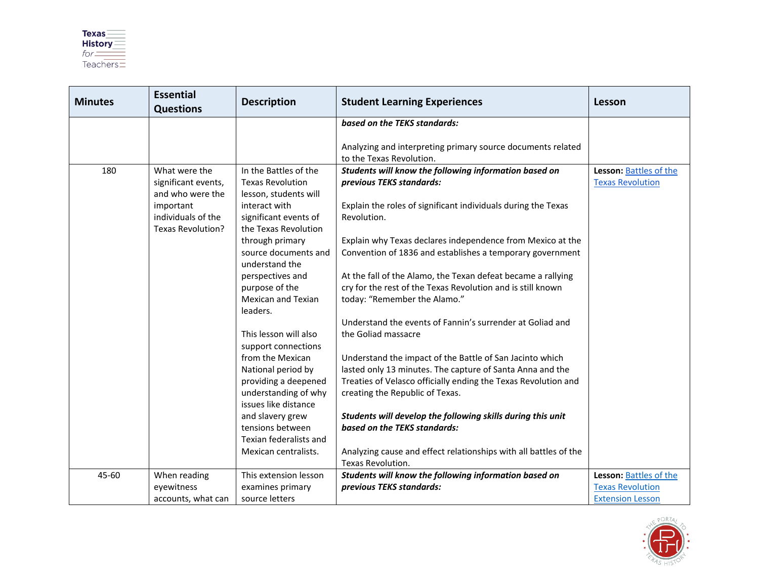| <b>Minutes</b> | <b>Essential</b><br><b>Questions</b>                 | <b>Description</b>                                             | <b>Student Learning Experiences</b>                                                                                     | Lesson                                            |
|----------------|------------------------------------------------------|----------------------------------------------------------------|-------------------------------------------------------------------------------------------------------------------------|---------------------------------------------------|
|                |                                                      |                                                                | based on the TEKS standards:                                                                                            |                                                   |
|                |                                                      |                                                                | Analyzing and interpreting primary source documents related<br>to the Texas Revolution.                                 |                                                   |
| 180            | What were the                                        | In the Battles of the                                          | Students will know the following information based on                                                                   | Lesson: Battles of the                            |
|                | significant events,<br>and who were the              | <b>Texas Revolution</b><br>lesson, students will               | previous TEKS standards:                                                                                                | <b>Texas Revolution</b>                           |
|                | important<br>individuals of the<br>Texas Revolution? | interact with<br>significant events of<br>the Texas Revolution | Explain the roles of significant individuals during the Texas<br>Revolution.                                            |                                                   |
|                |                                                      | through primary<br>source documents and<br>understand the      | Explain why Texas declares independence from Mexico at the<br>Convention of 1836 and establishes a temporary government |                                                   |
|                |                                                      | perspectives and                                               | At the fall of the Alamo, the Texan defeat became a rallying                                                            |                                                   |
|                |                                                      | purpose of the                                                 | cry for the rest of the Texas Revolution and is still known                                                             |                                                   |
|                |                                                      | <b>Mexican and Texian</b><br>leaders.                          | today: "Remember the Alamo."                                                                                            |                                                   |
|                |                                                      | This lesson will also<br>support connections                   | Understand the events of Fannin's surrender at Goliad and<br>the Goliad massacre                                        |                                                   |
|                |                                                      | from the Mexican                                               | Understand the impact of the Battle of San Jacinto which                                                                |                                                   |
|                |                                                      | National period by                                             | lasted only 13 minutes. The capture of Santa Anna and the                                                               |                                                   |
|                |                                                      | providing a deepened                                           | Treaties of Velasco officially ending the Texas Revolution and                                                          |                                                   |
|                |                                                      | understanding of why<br>issues like distance                   | creating the Republic of Texas.                                                                                         |                                                   |
|                |                                                      | and slavery grew                                               | Students will develop the following skills during this unit                                                             |                                                   |
|                |                                                      | tensions between                                               | based on the TEKS standards:                                                                                            |                                                   |
|                |                                                      | Texian federalists and                                         |                                                                                                                         |                                                   |
|                |                                                      | Mexican centralists.                                           | Analyzing cause and effect relationships with all battles of the                                                        |                                                   |
|                |                                                      |                                                                | Texas Revolution.                                                                                                       |                                                   |
| 45-60          | When reading<br>eyewitness                           | This extension lesson<br>examines primary                      | Students will know the following information based on<br>previous TEKS standards:                                       | Lesson: Battles of the<br><b>Texas Revolution</b> |
|                | accounts, what can                                   | source letters                                                 |                                                                                                                         | <b>Extension Lesson</b>                           |

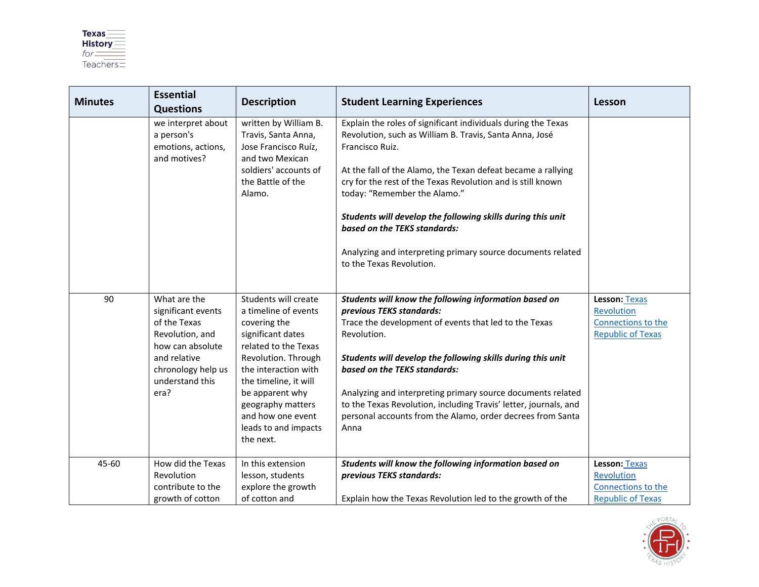

| <b>Minutes</b> | <b>Essential</b><br><b>Questions</b>                                                                                                                       | <b>Description</b>                                                                                                                                                                                                                                                                  | <b>Student Learning Experiences</b>                                                                                                                                                                                                                                                                                                                                                                                                                                                                  | Lesson                                                                               |
|----------------|------------------------------------------------------------------------------------------------------------------------------------------------------------|-------------------------------------------------------------------------------------------------------------------------------------------------------------------------------------------------------------------------------------------------------------------------------------|------------------------------------------------------------------------------------------------------------------------------------------------------------------------------------------------------------------------------------------------------------------------------------------------------------------------------------------------------------------------------------------------------------------------------------------------------------------------------------------------------|--------------------------------------------------------------------------------------|
|                | we interpret about<br>a person's<br>emotions, actions,<br>and motives?                                                                                     | written by William B.<br>Travis, Santa Anna,<br>Jose Francisco Ruíz,<br>and two Mexican<br>soldiers' accounts of<br>the Battle of the<br>Alamo.                                                                                                                                     | Explain the roles of significant individuals during the Texas<br>Revolution, such as William B. Travis, Santa Anna, José<br>Francisco Ruiz.<br>At the fall of the Alamo, the Texan defeat became a rallying<br>cry for the rest of the Texas Revolution and is still known<br>today: "Remember the Alamo."<br>Students will develop the following skills during this unit<br>based on the TEKS standards:<br>Analyzing and interpreting primary source documents related<br>to the Texas Revolution. |                                                                                      |
| 90             | What are the<br>significant events<br>of the Texas<br>Revolution, and<br>how can absolute<br>and relative<br>chronology help us<br>understand this<br>era? | Students will create<br>a timeline of events<br>covering the<br>significant dates<br>related to the Texas<br>Revolution. Through<br>the interaction with<br>the timeline, it will<br>be apparent why<br>geography matters<br>and how one event<br>leads to and impacts<br>the next. | Students will know the following information based on<br>previous TEKS standards:<br>Trace the development of events that led to the Texas<br>Revolution.<br>Students will develop the following skills during this unit<br>based on the TEKS standards:<br>Analyzing and interpreting primary source documents related<br>to the Texas Revolution, including Travis' letter, journals, and<br>personal accounts from the Alamo, order decrees from Santa<br>Anna                                    | <b>Lesson: Texas</b><br>Revolution<br>Connections to the<br><b>Republic of Texas</b> |
| 45-60          | How did the Texas<br>Revolution                                                                                                                            | In this extension<br>lesson, students                                                                                                                                                                                                                                               | Students will know the following information based on<br>previous TEKS standards:                                                                                                                                                                                                                                                                                                                                                                                                                    | Lesson: Texas<br>Revolution                                                          |
|                | contribute to the                                                                                                                                          | explore the growth                                                                                                                                                                                                                                                                  |                                                                                                                                                                                                                                                                                                                                                                                                                                                                                                      | Connections to the                                                                   |
|                | growth of cotton                                                                                                                                           | of cotton and                                                                                                                                                                                                                                                                       | Explain how the Texas Revolution led to the growth of the                                                                                                                                                                                                                                                                                                                                                                                                                                            | <b>Republic of Texas</b>                                                             |